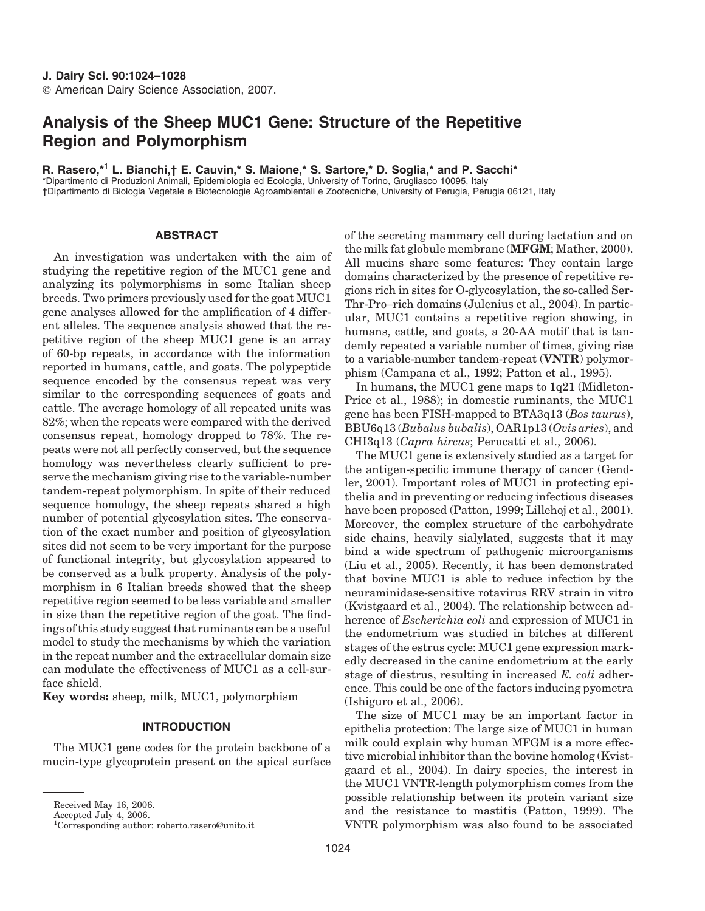# **Analysis of the Sheep MUC1 Gene: Structure of the Repetitive Region and Polymorphism**

**R. Rasero,\*<sup>1</sup> L. Bianchi,† E. Cauvin,\* S. Maione,\* S. Sartore,\* D. Soglia,\* and P. Sacchi\***

\*Dipartimento di Produzioni Animali, Epidemiologia ed Ecologia, University of Torino, Grugliasco 10095, Italy †Dipartimento di Biologia Vegetale e Biotecnologie Agroambientali e Zootecniche, University of Perugia, Perugia 06121, Italy

# **ABSTRACT**

An investigation was undertaken with the aim of studying the repetitive region of the MUC1 gene and analyzing its polymorphisms in some Italian sheep breeds. Two primers previously used for the goat MUC1 gene analyses allowed for the amplification of 4 different alleles. The sequence analysis showed that the repetitive region of the sheep MUC1 gene is an array of 60-bp repeats, in accordance with the information reported in humans, cattle, and goats. The polypeptide sequence encoded by the consensus repeat was very similar to the corresponding sequences of goats and cattle. The average homology of all repeated units was 82%; when the repeats were compared with the derived consensus repeat, homology dropped to 78%. The repeats were not all perfectly conserved, but the sequence homology was nevertheless clearly sufficient to preserve the mechanism giving rise to the variable-number tandem-repeat polymorphism. In spite of their reduced sequence homology, the sheep repeats shared a high number of potential glycosylation sites. The conservation of the exact number and position of glycosylation sites did not seem to be very important for the purpose of functional integrity, but glycosylation appeared to be conserved as a bulk property. Analysis of the polymorphism in 6 Italian breeds showed that the sheep repetitive region seemed to be less variable and smaller in size than the repetitive region of the goat. The findings of this study suggest that ruminants can be a useful model to study the mechanisms by which the variation in the repeat number and the extracellular domain size can modulate the effectiveness of MUC1 as a cell-surface shield.

**Key words:** sheep, milk, MUC1, polymorphism

## **INTRODUCTION**

The MUC1 gene codes for the protein backbone of a mucin-type glycoprotein present on the apical surface

Accepted July 4, 2006.

1 Corresponding author: roberto.rasero@unito.it

of the secreting mammary cell during lactation and on the milk fat globule membrane (**MFGM**; Mather, 2000). All mucins share some features: They contain large domains characterized by the presence of repetitive regions rich in sites for O-glycosylation, the so-called Ser-Thr-Pro–rich domains (Julenius et al., 2004). In particular, MUC1 contains a repetitive region showing, in humans, cattle, and goats, a 20-AA motif that is tandemly repeated a variable number of times, giving rise to a variable-number tandem-repeat (**VNTR**) polymorphism (Campana et al., 1992; Patton et al., 1995).

In humans, the MUC1 gene maps to 1q21 (Midleton-Price et al., 1988); in domestic ruminants, the MUC1 gene has been FISH-mapped to BTA3q13 (*Bos taurus*), BBU6q13 (*Bubalus bubalis*), OAR1p13 (*Ovis aries*), and CHI3q13 (*Capra hircus*; Perucatti et al., 2006).

The MUC1 gene is extensively studied as a target for the antigen-specific immune therapy of cancer (Gendler, 2001). Important roles of MUC1 in protecting epithelia and in preventing or reducing infectious diseases have been proposed (Patton, 1999; Lillehoj et al., 2001). Moreover, the complex structure of the carbohydrate side chains, heavily sialylated, suggests that it may bind a wide spectrum of pathogenic microorganisms (Liu et al., 2005). Recently, it has been demonstrated that bovine MUC1 is able to reduce infection by the neuraminidase-sensitive rotavirus RRV strain in vitro (Kvistgaard et al., 2004). The relationship between adherence of *Escherichia coli* and expression of MUC1 in the endometrium was studied in bitches at different stages of the estrus cycle: MUC1 gene expression markedly decreased in the canine endometrium at the early stage of diestrus, resulting in increased *E. coli* adherence. This could be one of the factors inducing pyometra (Ishiguro et al., 2006).

The size of MUC1 may be an important factor in epithelia protection: The large size of MUC1 in human milk could explain why human MFGM is a more effective microbial inhibitor than the bovine homolog (Kvistgaard et al., 2004). In dairy species, the interest in the MUC1 VNTR-length polymorphism comes from the possible relationship between its protein variant size and the resistance to mastitis (Patton, 1999). The VNTR polymorphism was also found to be associated

Received May 16, 2006.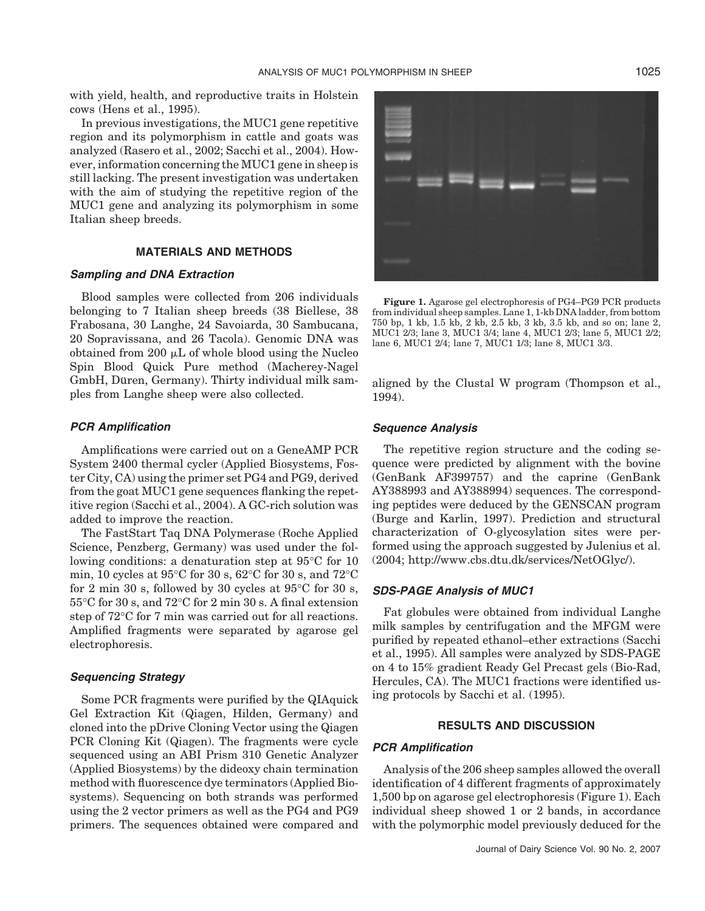with yield, health, and reproductive traits in Holstein cows (Hens et al., 1995).

In previous investigations, the MUC1 gene repetitive region and its polymorphism in cattle and goats was analyzed (Rasero et al., 2002; Sacchi et al., 2004). However, information concerning the MUC1 gene in sheep is still lacking. The present investigation was undertaken with the aim of studying the repetitive region of the MUC1 gene and analyzing its polymorphism in some Italian sheep breeds.

## **MATERIALS AND METHODS**

## *Sampling and DNA Extraction*

Blood samples were collected from 206 individuals belonging to 7 Italian sheep breeds (38 Biellese, 38 Frabosana, 30 Langhe, 24 Savoiarda, 30 Sambucana, 20 Sopravissana, and 26 Tacola). Genomic DNA was obtained from 200  $\mu$ L of whole blood using the Nucleo Spin Blood Quick Pure method (Macherey-Nagel GmbH, Düren, Germany). Thirty individual milk samples from Langhe sheep were also collected.

#### *PCR Amplification*

Amplifications were carried out on a GeneAMP PCR System 2400 thermal cycler (Applied Biosystems, Foster City, CA) using the primer set PG4 and PG9, derived from the goat MUC1 gene sequences flanking the repetitive region (Sacchi et al., 2004). A GC-rich solution was added to improve the reaction.

The FastStart Taq DNA Polymerase (Roche Applied Science, Penzberg, Germany) was used under the following conditions: a denaturation step at 95°C for 10 min, 10 cycles at 95°C for 30 s, 62°C for 30 s, and 72°C for 2 min 30 s, followed by 30 cycles at  $95^{\circ}$ C for 30 s, 55°C for 30 s, and 72°C for 2 min 30 s. A final extension step of 72°C for 7 min was carried out for all reactions. Amplified fragments were separated by agarose gel electrophoresis.

### *Sequencing Strategy*

Some PCR fragments were purified by the QIAquick Gel Extraction Kit (Qiagen, Hilden, Germany) and cloned into the pDrive Cloning Vector using the Qiagen PCR Cloning Kit (Qiagen). The fragments were cycle sequenced using an ABI Prism 310 Genetic Analyzer (Applied Biosystems) by the dideoxy chain termination method with fluorescence dye terminators (Applied Biosystems). Sequencing on both strands was performed using the 2 vector primers as well as the PG4 and PG9 primers. The sequences obtained were compared and



**Figure 1.** Agarose gel electrophoresis of PG4–PG9 PCR products from individual sheep samples. Lane 1, 1-kb DNA ladder, from bottom 750 bp, 1 kb, 1.5 kb, 2 kb, 2.5 kb, 3 kb, 3.5 kb, and so on; lane 2, MUC1 2/3; lane 3, MUC1 3/4; lane 4, MUC1 2/3; lane 5, MUC1 2/2; lane 6, MUC1 2/4; lane 7, MUC1 1/3; lane 8, MUC1 3/3.

aligned by the Clustal W program (Thompson et al., 1994).

#### *Sequence Analysis*

The repetitive region structure and the coding sequence were predicted by alignment with the bovine (GenBank AF399757) and the caprine (GenBank AY388993 and AY388994) sequences. The corresponding peptides were deduced by the GENSCAN program (Burge and Karlin, 1997). Prediction and structural characterization of O-glycosylation sites were performed using the approach suggested by Julenius et al. (2004; http://www.cbs.dtu.dk/services/NetOGlyc/).

#### *SDS-PAGE Analysis of MUC1*

Fat globules were obtained from individual Langhe milk samples by centrifugation and the MFGM were purified by repeated ethanol–ether extractions (Sacchi et al., 1995). All samples were analyzed by SDS-PAGE on 4 to 15% gradient Ready Gel Precast gels (Bio-Rad, Hercules, CA). The MUC1 fractions were identified using protocols by Sacchi et al. (1995).

## **RESULTS AND DISCUSSION**

# *PCR Amplification*

Analysis of the 206 sheep samples allowed the overall identification of 4 different fragments of approximately 1,500 bp on agarose gel electrophoresis (Figure 1). Each individual sheep showed 1 or 2 bands, in accordance with the polymorphic model previously deduced for the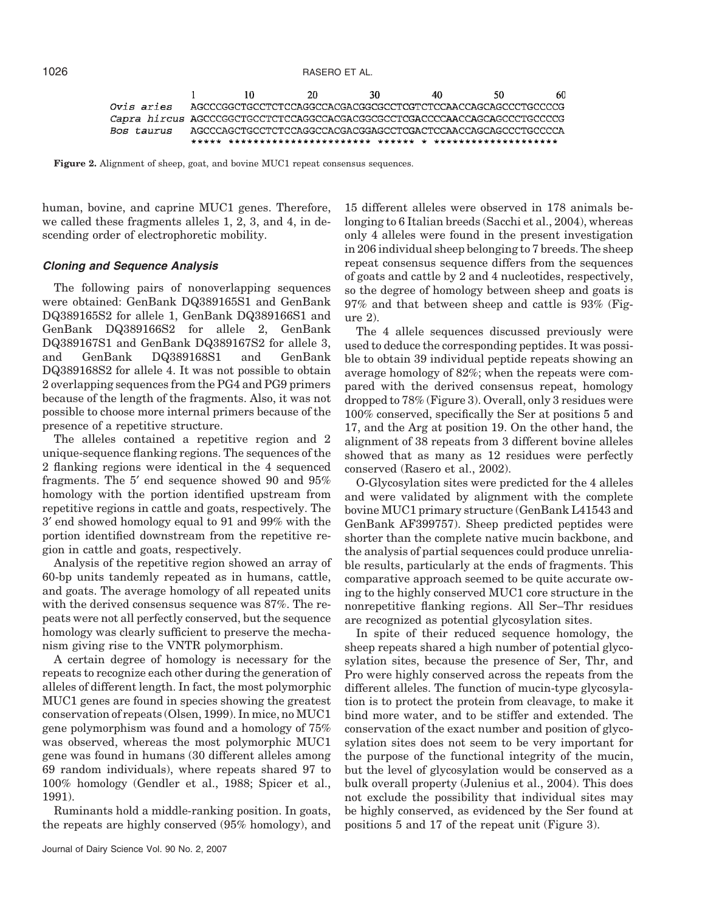

**Figure 2.** Alignment of sheep, goat, and bovine MUC1 repeat consensus sequences.

human, bovine, and caprine MUC1 genes. Therefore, we called these fragments alleles 1, 2, 3, and 4, in descending order of electrophoretic mobility.

#### *Cloning and Sequence Analysis*

The following pairs of nonoverlapping sequences were obtained: GenBank DQ389165S1 and GenBank DQ389165S2 for allele 1, GenBank DQ389166S1 and GenBank DQ389166S2 for allele 2, GenBank DQ389167S1 and GenBank DQ389167S2 for allele 3, and GenBank DQ389168S1 and GenBank DQ389168S2 for allele 4. It was not possible to obtain 2 overlapping sequences from the PG4 and PG9 primers because of the length of the fragments. Also, it was not possible to choose more internal primers because of the presence of a repetitive structure.

The alleles contained a repetitive region and 2 unique-sequence flanking regions. The sequences of the 2 flanking regions were identical in the 4 sequenced fragments. The 5′ end sequence showed 90 and 95% homology with the portion identified upstream from repetitive regions in cattle and goats, respectively. The 3′ end showed homology equal to 91 and 99% with the portion identified downstream from the repetitive region in cattle and goats, respectively.

Analysis of the repetitive region showed an array of 60-bp units tandemly repeated as in humans, cattle, and goats. The average homology of all repeated units with the derived consensus sequence was 87%. The repeats were not all perfectly conserved, but the sequence homology was clearly sufficient to preserve the mechanism giving rise to the VNTR polymorphism.

A certain degree of homology is necessary for the repeats to recognize each other during the generation of alleles of different length. In fact, the most polymorphic MUC1 genes are found in species showing the greatest conservation of repeats (Olsen, 1999). In mice, no MUC1 gene polymorphism was found and a homology of 75% was observed, whereas the most polymorphic MUC1 gene was found in humans (30 different alleles among 69 random individuals), where repeats shared 97 to 100% homology (Gendler et al., 1988; Spicer et al., 1991).

Ruminants hold a middle-ranking position. In goats, the repeats are highly conserved (95% homology), and

15 different alleles were observed in 178 animals belonging to 6 Italian breeds (Sacchi et al., 2004), whereas only 4 alleles were found in the present investigation in 206 individual sheep belonging to 7 breeds. The sheep repeat consensus sequence differs from the sequences of goats and cattle by 2 and 4 nucleotides, respectively, so the degree of homology between sheep and goats is 97% and that between sheep and cattle is 93% (Figure 2).

The 4 allele sequences discussed previously were used to deduce the corresponding peptides. It was possible to obtain 39 individual peptide repeats showing an average homology of 82%; when the repeats were compared with the derived consensus repeat, homology dropped to 78% (Figure 3). Overall, only 3 residues were 100% conserved, specifically the Ser at positions 5 and 17, and the Arg at position 19. On the other hand, the alignment of 38 repeats from 3 different bovine alleles showed that as many as 12 residues were perfectly conserved (Rasero et al., 2002).

O-Glycosylation sites were predicted for the 4 alleles and were validated by alignment with the complete bovine MUC1 primary structure (GenBank L41543 and GenBank AF399757). Sheep predicted peptides were shorter than the complete native mucin backbone, and the analysis of partial sequences could produce unreliable results, particularly at the ends of fragments. This comparative approach seemed to be quite accurate owing to the highly conserved MUC1 core structure in the nonrepetitive flanking regions. All Ser–Thr residues are recognized as potential glycosylation sites.

In spite of their reduced sequence homology, the sheep repeats shared a high number of potential glycosylation sites, because the presence of Ser, Thr, and Pro were highly conserved across the repeats from the different alleles. The function of mucin-type glycosylation is to protect the protein from cleavage, to make it bind more water, and to be stiffer and extended. The conservation of the exact number and position of glycosylation sites does not seem to be very important for the purpose of the functional integrity of the mucin, but the level of glycosylation would be conserved as a bulk overall property (Julenius et al., 2004). This does not exclude the possibility that individual sites may be highly conserved, as evidenced by the Ser found at positions 5 and 17 of the repeat unit (Figure 3).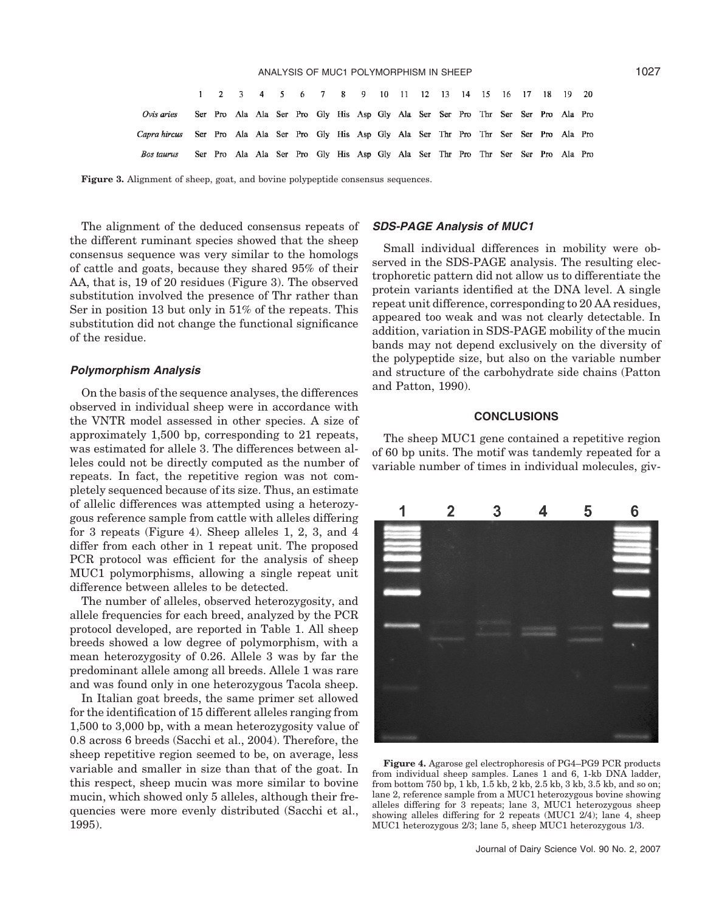|                                                                                              |  |  |  |  |  |  |  | 1 2 3 4 5 6 7 8 9 10 11 12 13 14 15 16 17 18 19 20                              |  |  |  |
|----------------------------------------------------------------------------------------------|--|--|--|--|--|--|--|---------------------------------------------------------------------------------|--|--|--|
| Ovis aries                                                                                   |  |  |  |  |  |  |  | Ser Pro Ala Ala Ser Pro Gly His Asp Gly Ala Ser Ser Pro Thr Ser Ser Pro Ala Pro |  |  |  |
| Capra hircus Ser Pro Ala Ala Ser Pro Gly His Asp Gly Ala Ser Thr Pro Thr Ser Ser Pro Ala Pro |  |  |  |  |  |  |  |                                                                                 |  |  |  |
| Bos taurus                                                                                   |  |  |  |  |  |  |  | Ser Pro Ala Ala Ser Pro Gly His Asp Gly Ala Ser Thr Pro Thr Ser Ser Pro Ala Pro |  |  |  |

**Figure 3.** Alignment of sheep, goat, and bovine polypeptide consensus sequences.

The alignment of the deduced consensus repeats of the different ruminant species showed that the sheep consensus sequence was very similar to the homologs of cattle and goats, because they shared 95% of their AA, that is, 19 of 20 residues (Figure 3). The observed substitution involved the presence of Thr rather than Ser in position 13 but only in 51% of the repeats. This substitution did not change the functional significance of the residue.

#### *Polymorphism Analysis*

On the basis of the sequence analyses, the differences observed in individual sheep were in accordance with the VNTR model assessed in other species. A size of approximately 1,500 bp, corresponding to 21 repeats, was estimated for allele 3. The differences between alleles could not be directly computed as the number of repeats. In fact, the repetitive region was not completely sequenced because of its size. Thus, an estimate of allelic differences was attempted using a heterozygous reference sample from cattle with alleles differing for 3 repeats (Figure 4). Sheep alleles 1, 2, 3, and 4 differ from each other in 1 repeat unit. The proposed PCR protocol was efficient for the analysis of sheep MUC1 polymorphisms, allowing a single repeat unit difference between alleles to be detected.

The number of alleles, observed heterozygosity, and allele frequencies for each breed, analyzed by the PCR protocol developed, are reported in Table 1. All sheep breeds showed a low degree of polymorphism, with a mean heterozygosity of 0.26. Allele 3 was by far the predominant allele among all breeds. Allele 1 was rare and was found only in one heterozygous Tacola sheep.

In Italian goat breeds, the same primer set allowed for the identification of 15 different alleles ranging from 1,500 to 3,000 bp, with a mean heterozygosity value of 0.8 across 6 breeds (Sacchi et al., 2004). Therefore, the sheep repetitive region seemed to be, on average, less variable and smaller in size than that of the goat. In this respect, sheep mucin was more similar to bovine mucin, which showed only 5 alleles, although their frequencies were more evenly distributed (Sacchi et al., 1995).

# *SDS-PAGE Analysis of MUC1*

Small individual differences in mobility were observed in the SDS-PAGE analysis. The resulting electrophoretic pattern did not allow us to differentiate the protein variants identified at the DNA level. A single repeat unit difference, corresponding to 20 AA residues, appeared too weak and was not clearly detectable. In addition, variation in SDS-PAGE mobility of the mucin bands may not depend exclusively on the diversity of the polypeptide size, but also on the variable number and structure of the carbohydrate side chains (Patton and Patton, 1990).

## **CONCLUSIONS**

The sheep MUC1 gene contained a repetitive region of 60 bp units. The motif was tandemly repeated for a variable number of times in individual molecules, giv-



**Figure 4.** Agarose gel electrophoresis of PG4–PG9 PCR products from individual sheep samples. Lanes 1 and 6, 1-kb DNA ladder, from bottom 750 bp,  $\hat{1}$ kb,  $1.\bar{5}$ kb,  $2$ kb,  $2.5$ kb,  $3$ kb,  $3.5$ kb, and so on; lane 2, reference sample from a MUC1 heterozygous bovine showing alleles differing for 3 repeats; lane 3, MUC1 heterozygous sheep showing alleles differing for 2 repeats (MUC1 2/4); lane 4, sheep MUC1 heterozygous 2/3; lane 5, sheep MUC1 heterozygous 1/3.